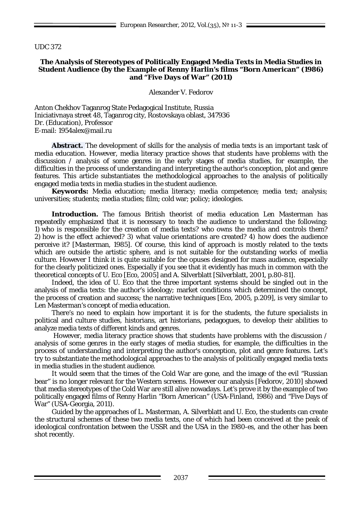UDC 372

#### **The Analysis of Stereotypes of Politically Engaged Media Texts in Media Studies in Student Audience (by the Example of Renny Harlin's films "Born American" (1986) and "Five Days of War" (2011)**

Alexander V. Fedorov

Anton Chekhov Taganrog State Pedagogical Institute, Russia Iniciativnaya street 48, Taganrog city, Rostovskaya oblast, 347936 Dr. (Education), Professor E-mail: [1954alex@mail.ru](mailto:1954alex@mail.ru)

**Abstract.** The development of skills for the analysis of media texts is an important task of media education. However, media literacy practice shows that students have problems with the discussion / analysis of some genres in the early stages of media studies, for example, the difficulties in the process of understanding and interpreting the author's conception, plot and genre features. This article substantiates the methodological approaches to the analysis of politically engaged media texts in media studies in the student audience.

**Keywords:** Media education; media literacy; media competence; media text; analysis; universities; students; media studies; film; cold war; policy; ideologies.

**Introduction.** The famous British theorist of media education Len Masterman has repeatedly emphasized that it is necessary to teach the audience to understand the following: 1) who is responsible for the creation of media texts? who owns the media and controls them? 2) how is the effect achieved? 3) what value orientations are created? 4) how does the audience perceive it? [Masterman, 1985]. Of course, this kind of approach is mostly related to the texts which are outside the artistic sphere, and is not suitable for the outstanding works of media culture. However I think it is quite suitable for the opuses designed for mass audience, especially for the clearly politicized ones. Especially if you see that it evidently has much in common with the theoretical concepts of U. Eco [Eco, 2005] and A. Silverblatt [Silverblatt, 2001, p.80-81].

Indeed, the idea of U. Eco that the three important systems should be singled out in the analysis of media texts: the author's ideology; market conditions which determined the concept, the process of creation and success; the narrative techniques [Eco, 2005, p.209], is very similar to Len Masterman's concept of media education.

There's no need to explain how important it is for the students, the future specialists in political and culture studies, historians, art historians, pedagogues, to develop their abilities to analyze media texts of different kinds and genres.

However, media literacy practice shows that students have problems with the discussion / analysis of some genres in the early stages of media studies, for example, the difficulties in the process of understanding and interpreting the author's conception, plot and genre features. Let's try to substantiate the methodological approaches to the analysis of politically engaged media texts in media studies in the student audience.

It would seem that the times of the Cold War are gone, and the image of the evil "Russian bear" is no longer relevant for the Western screens. However our analysis [Fedorov, 2010] showed that media stereotypes of the Cold War are still alive nowadays. Let's prove it by the example of two politically engaged films of Renny Harlin "Born American" (USA-Finland, 1986) and "Five Days of War" (USA-Georgia, 2011).

Guided by the approaches of L. Masterman, A. Silverblatt and U. Eco, the students can create the structural schemes of these two media texts, one of which had been conceived at the peak of ideological confrontation between the USSR and the USA in the 1980-es, and the other has been shot recently.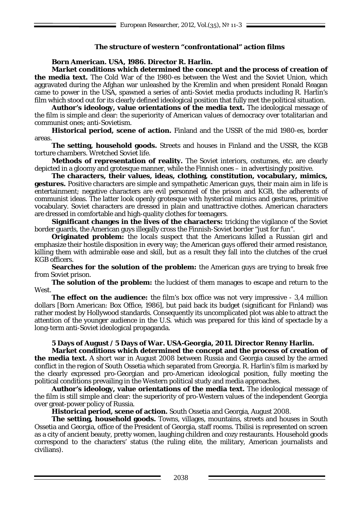## **The structure of western "confrontational" action films**

# **Born American. USA, 1986. Director R. Harlin.**

**Market conditions which determined the concept and the process of creation of the media text.** The Cold War of the 1980-es between the West and the Soviet Union, which aggravated during the Afghan war unleashed by the Kremlin and when president Ronald Reagan came to power in the USA, spawned a series of anti-Soviet media products including R. Harlin's film which stood out for its clearly defined ideological position that fully met the political situation.

**Author's ideology, value orientations of the media text.** The ideological message of the film is simple and clear: the superiority of American values of democracy over totalitarian and communist ones; anti-Sovietism.

**Historical period, scene of action.** Finland and the USSR of the mid 1980-es, border areas.

**The setting, household goods.** Streets and houses in Finland and the USSR, the KGB torture chambers. Wretched Soviet life.

**Methods of representation of reality.** The Soviet interiors, costumes, etc. are clearly depicted in a gloomy and grotesque manner, while the Finnish ones – in advertisingly positive.

**The characters, their values, ideas, clothing, constitution, vocabulary, mimics, gestures.** Positive characters are simple and sympathetic American guys, their main aim in life is entertainment; negative characters are evil personnel of the prison and KGB, the adherents of communist ideas. The latter look openly grotesque with hysterical mimics and gestures, primitive vocabulary. Soviet characters are dressed in plain and unattractive clothes. American characters are dressed in comfortable and high-quality clothes for teenagers.

**Significant changes in the lives of the characters:** tricking the vigilance of the Soviet border guards, the American guys illegally cross the Finnish-Soviet border "just for fun".

**Originated problem:** the locals suspect that the Americans killed a Russian girl and emphasize their hostile disposition in every way; the American guys offered their armed resistance, killing them with admirable ease and skill, but as a result they fall into the clutches of the cruel KGB officers.

**Searches for the solution of the problem:** the American guys are trying to break free from Soviet prison.

**The solution of the problem:** the luckiest of them manages to escape and return to the West.

**The effect on the audience:** the film's box office was not very impressive - 3,4 million dollars [Born American: Box Office, 1986], but paid back its budget (significant for Finland) was rather modest by Hollywood standards. Consequently its uncomplicated plot was able to attract the attention of the younger audience in the U.S. which was prepared for this kind of spectacle by a long-term anti-Soviet ideological propaganda.

### **5 Days of August / 5 Days of War. USA-Georgia, 2011. Director Renny Harlin.**

**Market conditions which determined the concept and the process of creation of the media text.** A short war in August 2008 between Russia and Georgia caused by the armed conflict in the region of South Ossetia which separated from Greorgia. R. Harlin's film is marked by the clearly expressed pro-Georgian and pro-American ideological position, fully meeting the political conditions prevailing in the Western political study and media approaches.

**Author's ideology, value orientations of the media text.** The ideological message of the film is still simple and clear: the superiority of pro-Western values of the independent Georgia over great-power policy of Russia.

**Historical period, scene of action.** South Ossetia and Georgia, August 2008.

**The setting, household goods.** Towns, villages, mountains, streets and houses in South Ossetia and Georgia, office of the President of Georgia, staff rooms. Tbilisi is represented on screen as a city of ancient beauty, pretty women, laughing children and cozy restaurants. Household goods correspond to the characters' status (the ruling elite, the military, American journalists and civilians).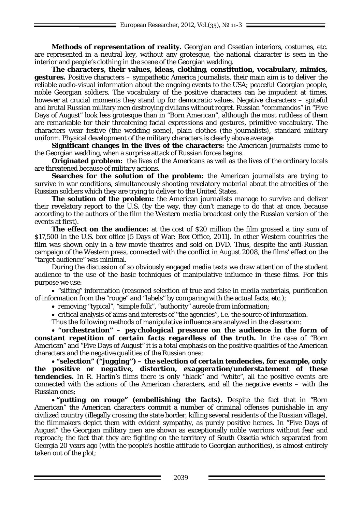**Methods of representation of reality.** Georgian and Ossetian interiors, costumes, etc. are represented in a neutral key, without any grotesque, the national character is seen in the interior and people's clothing in the scene of the Georgian wedding.

**The characters, their values, ideas, clothing, constitution, vocabulary, mimics, gestures.** Positive characters – sympathetic America journalists, their main aim is to deliver the reliable audio-visual information about the ongoing events to the USA; peaceful Georgian people, noble Georgian soldiers. The vocabulary of the positive characters can be impudent at times, however at crucial moments they stand up for democratic values. Negative characters – spiteful and brutal Russian military men destroying civilians without regret. Russian "commandos" in "Five Days of August" look less grotesque than in "Born American", although the most ruthless of them are remarkable for their threatening facial expressions and gestures, primitive vocabulary. The characters wear festive (the wedding scene), plain clothes (the journalists), standard military uniform. Physical development of the military characters is clearly above average.

**Significant changes in the lives of the characters:** the American journalists come to the Georgian wedding, when a surprise attack of Russian forces begins.

**Originated problem:** the lives of the Americans as well as the lives of the ordinary locals are threatened because of military actions.

**Searches for the solution of the problem:** the American journalists are trying to survive in war conditions, simultaneously shooting revelatory material about the atrocities of the Russian soldiers which they are trying to deliver to the United States.

**The solution of the problem:** the American journalists manage to survive and deliver their revelatory report to the U.S. (by the way, they don't manage to do that at once, because according to the authors of the film the Western media broadcast only the Russian version of the events at first).

The effect on the audience: at the cost of \$20 million the film grossed a tiny sum of \$17,500 in the U.S. box office [5 Days of War: Box Office, 2011]. In other Western countries the film was shown only in a few movie theatres and sold on DVD. Thus, despite the anti-Russian campaign of the Western press, connected with the conflict in August 2008, the films' effect on the "target audience" was minimal.

During the discussion of so obviously engaged media texts we draw attention of the student audience to the use of the basic techniques of manipulative influence in these films. For this purpose we use:

• "sifting" information (reasoned selection of true and false in media materials, purification of information from the "rouge" and "labels" by comparing with the actual facts, etc.);

• removing "typical", "simple folk", "authority" aureole from information;

• critical analysis of aims and interests of "the agencies", i.e. the source of information.

Thus the following methods of manipulative influence are analyzed in the classroom:

• *"orchestration" – psychological pressure on the audience in the form of constant repetition of certain facts regardless of the truth.* In the case of "Born American" and "Five Days of August" it is a total emphasis on the positive qualities of the American characters and the negative qualities of the Russian ones;

• *"selection" ("jugging") – the selection of certain tendencies, for example, only the positive or negative, distortion, exaggeration/understatement of these tendencies.* In R. Harlin's films there is only "black" and "white", all the positive events are connected with the actions of the American characters, and all the negative events – with the Russian ones;

• *"putting on rouge" (embellishing the facts).* Despite the fact that in "Born American" the American characters commit a number of criminal offenses punishable in any civilized country (illegally crossing the state border, killing several residents of the Russian village), the filmmakers depict them with evident sympathy, as purely positive heroes. In "Five Days of August" the Georgian military men are shown as exceptionally noble warriors without fear and reproach; the fact that they are fighting on the territory of South Ossetia which separated from Georgia 20 years ago (with the people's hostile attitude to Georgian authorities), is almost entirely taken out of the plot;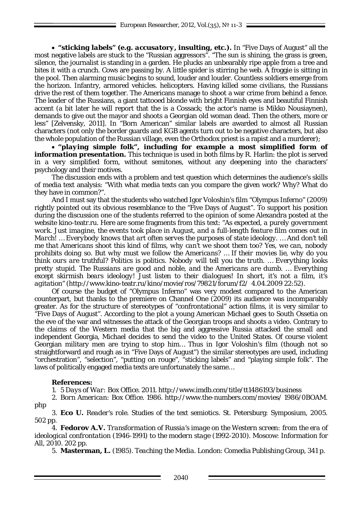• *"sticking labels" (e.g. accusatory, insulting, etc.).* In "Five Days of August" all the most negative labels are stuck to the "Russian aggressors". "The sun is shining, the grass is green, silence, the journalist is standing in a garden. He plucks an unbearably ripe apple from a tree and bites it with a crunch. Cows are passing by. A little spider is stirring he web. A froggie is sitting in the pool. Then alarming music begins to sound, louder and louder. Countless soldiers emerge from the horizon. Infantry, armored vehicles. helicopters. Having killed some civilians, the Russians drive the rest of them together. The Americans manage to shoot a war crime from behind a fence. The leader of the Russians, a giant tattooed blonde with bright Finnish eyes and beautiful Finnish accent (a bit later he will report that the is a Cossack; the actor's name is Mikko Nousiaynen), demands to give out the mayor and shoots a Georgian old woman dead. Then the others, more or less" [Zelvensky, 2011]. In "Born American" similar labels are awarded to almost all Russian characters (not only the border guards and KGB agents turn out to be negative characters, but also the whole population of the Russian village, even the Orthodox priest is a rapist and a murderer);

• *"playing simple folk", including for example a most simplified form of information presentation.* This technique is used in both films by R. Harlin: the plot is served in a very simplified form, without semitones, without any deepening into the characters' psychology and their motives.

The discussion ends with a problem and test question which determines the audience's skills of media text analysis: "With what media texts can you compare the given work? Why? What do they have in common?".

And I must say that the students who watched Igor Voloshin's film "Olympus Inferno" (2009) rightly pointed out its obvious resemblance to the "Five Days of August". To support his position during the discussion one of the students referred to the opinion of some Alexandra posted at the website kino-teatr.ru. Here are some fragments from this text: "*As expected, a purely government work. Just imagine, the events took place in August, and a full-length feature film comes out in March! … Everybody knows that art often serves the purposes of state ideology. … And don't tell me that Americans shoot this kind of films, why can't we shoot them too? Yes, we can, nobody prohibits doing so. But why must we follow the Americans? … If their movies lie, why do you think ours are truthful? Politics is politics. Nobody will tell you the truth. … Everything looks pretty stupid. The Russians are good and noble, and the Americans are dumb. … Everything*  except skirmish bears ideology! Just listen to their dialogues! In short, it's not a film, it's *agitation"* [\(http://www.kino-teatr.ru/kino/movie/ros/79821/forum/f2/](http://www.kino-teatr.ru/kino/movie/ros/79821/forum/f2/) 4.04.2009 22:52).

Of course the budget of "Olympus Inferno" was very modest compared to the American counterpart, but thanks to the premiere on Channel One (2009) its audience was incomparably greater. As for the structure of stereotypes of "confrontational" action films, it is very similar to "Five Days of August". According to the plot a young American Michael goes to South Ossetia on the eve of the war and witnesses the attack of the Georgian troops and shoots a video. Contrary to the claims of the Western media that the big and aggressive Russia attacked the small and independent Georgia, Michael decides to send the video to the United States. Of course violent Georgian military men are trying to stop him… Thus in Igor Voloshin's film (though not so straightforward and rough as in "Five Days of August") the similar stereotypes are used, including "orchestration", "selection", "putting on rouge", "sticking labels" and "playing simple folk". The laws of politically engaged media texts are unfortunately the same…

## **References:**

1. *[5 Days of War:](http://www.imdb.com/title/tt1486193/) Box Office.* 2011.<http://www.imdb.com/title/tt1486193/business>

2. *Born American: Box Office.* 1986. [http://www.the-numbers.com/movies/](http://www.the-numbers.com/movies/%201986/0BOAM.%20php) 1986/0BOAM.

[php](http://www.the-numbers.com/movies/%201986/0BOAM.%20php) 3. **Eco U.** *Reader's role. Studies of the text semiotics.* St. Petersburg: Symposium, 2005. 502 pp.

4. **Fedorov A.V.** *Transformation of Russia's image on the Western screen: from the era of ideological confrontation (1946-1991) to the modern stage (1992-2010).* Moscow: Information for All, 2010. 202 pp.

5. **Masterman, L.** (1985). *Teaching the Media.* London: Comedia Publishing Group, 341 p.